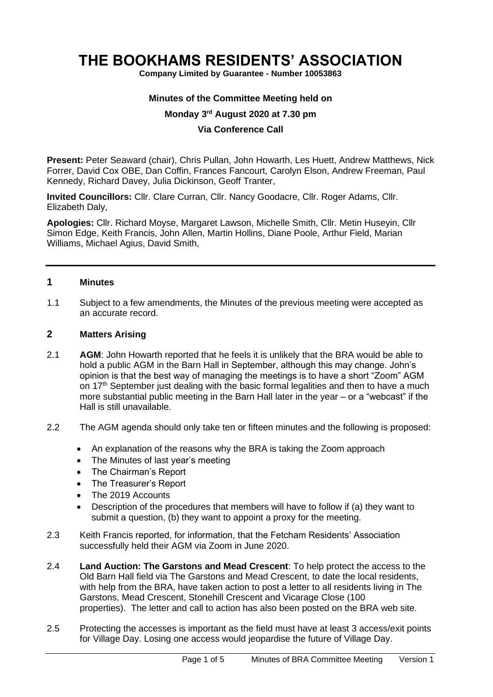# **THE BOOKHAMS RESIDENTS' ASSOCIATION**

**Company Limited by Guarantee - Number 10053863**

#### **Minutes of the Committee Meeting held on**

#### **Monday 3 rd August 2020 at 7.30 pm**

#### **Via Conference Call**

**Present:** Peter Seaward (chair), Chris Pullan, John Howarth, Les Huett, Andrew Matthews, Nick Forrer, David Cox OBE, Dan Coffin, Frances Fancourt, Carolyn Elson, Andrew Freeman, Paul Kennedy, Richard Davey, Julia Dickinson, Geoff Tranter,

**Invited Councillors:** Cllr. Clare Curran, Cllr. Nancy Goodacre, Cllr. Roger Adams, Cllr. Elizabeth Daly,

**Apologies:** Cllr. Richard Moyse, Margaret Lawson, Michelle Smith, Cllr. Metin Huseyin, Cllr Simon Edge, Keith Francis, John Allen, Martin Hollins, Diane Poole, Arthur Field, Marian Williams, Michael Agius, David Smith,

#### **1 Minutes**

1.1 Subject to a few amendments, the Minutes of the previous meeting were accepted as an accurate record.

#### **2 Matters Arising**

- 2.1 **AGM**: John Howarth reported that he feels it is unlikely that the BRA would be able to hold a public AGM in the Barn Hall in September, although this may change. John's opinion is that the best way of managing the meetings is to have a short "Zoom" AGM on 17<sup>th</sup> September just dealing with the basic formal legalities and then to have a much more substantial public meeting in the Barn Hall later in the year – or a "webcast" if the Hall is still unavailable.
- 2.2 The AGM agenda should only take ten or fifteen minutes and the following is proposed:
	- An explanation of the reasons why the BRA is taking the Zoom approach
	- The Minutes of last year's meeting
	- The Chairman's Report
	- The Treasurer's Report
	- The 2019 Accounts
	- Description of the procedures that members will have to follow if (a) they want to submit a question, (b) they want to appoint a proxy for the meeting.
- 2.3 Keith Francis reported, for information, that the Fetcham Residents' Association successfully held their AGM via Zoom in June 2020.
- 2.4 **Land Auction: The Garstons and Mead Crescent**: To help protect the access to the Old Barn Hall field via The Garstons and Mead Crescent, to date the local residents, with help from the BRA, have taken action to post a letter to all residents living in The Garstons, Mead Crescent, Stonehill Crescent and Vicarage Close (100 properties). The letter and call to action has also been posted on the BRA web site.
- 2.5 Protecting the accesses is important as the field must have at least 3 access/exit points for Village Day. Losing one access would jeopardise the future of Village Day.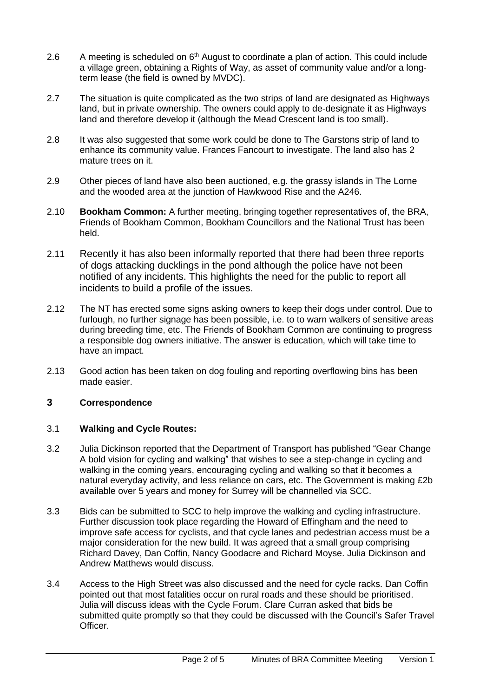- 2.6 A meeting is scheduled on  $6<sup>th</sup>$  August to coordinate a plan of action. This could include a village green, obtaining a Rights of Way, as asset of community value and/or a longterm lease (the field is owned by MVDC).
- 2.7 The situation is quite complicated as the two strips of land are designated as Highways land, but in private ownership. The owners could apply to de-designate it as Highways land and therefore develop it (although the Mead Crescent land is too small).
- 2.8 It was also suggested that some work could be done to The Garstons strip of land to enhance its community value. Frances Fancourt to investigate. The land also has 2 mature trees on it.
- 2.9 Other pieces of land have also been auctioned, e.g. the grassy islands in The Lorne and the wooded area at the junction of Hawkwood Rise and the A246.
- 2.10 **Bookham Common:** A further meeting, bringing together representatives of, the BRA, Friends of Bookham Common, Bookham Councillors and the National Trust has been held.
- 2.11 Recently it has also been informally reported that there had been three reports of dogs attacking ducklings in the pond although the police have not been notified of any incidents. This highlights the need for the public to report all incidents to build a profile of the issues.
- 2.12 The NT has erected some signs asking owners to keep their dogs under control. Due to furlough, no further signage has been possible, i.e. to to warn walkers of sensitive areas during breeding time, etc. The Friends of Bookham Common are continuing to progress a responsible dog owners initiative. The answer is education, which will take time to have an impact.
- 2.13 Good action has been taken on dog fouling and reporting overflowing bins has been made easier.

## **3 Correspondence**

## 3.1 **Walking and Cycle Routes:**

- 3.2 Julia Dickinson reported that the Department of Transport has published "Gear Change A bold vision for cycling and walking" that wishes to see a step-change in cycling and walking in the coming years, encouraging cycling and walking so that it becomes a natural everyday activity, and less reliance on cars, etc. The Government is making £2b available over 5 years and money for Surrey will be channelled via SCC.
- 3.3 Bids can be submitted to SCC to help improve the walking and cycling infrastructure. Further discussion took place regarding the Howard of Effingham and the need to improve safe access for cyclists, and that cycle lanes and pedestrian access must be a major consideration for the new build. It was agreed that a small group comprising Richard Davey, Dan Coffin, Nancy Goodacre and Richard Moyse. Julia Dickinson and Andrew Matthews would discuss.
- 3.4 Access to the High Street was also discussed and the need for cycle racks. Dan Coffin pointed out that most fatalities occur on rural roads and these should be prioritised. Julia will discuss ideas with the Cycle Forum. Clare Curran asked that bids be submitted quite promptly so that they could be discussed with the Council's Safer Travel Officer.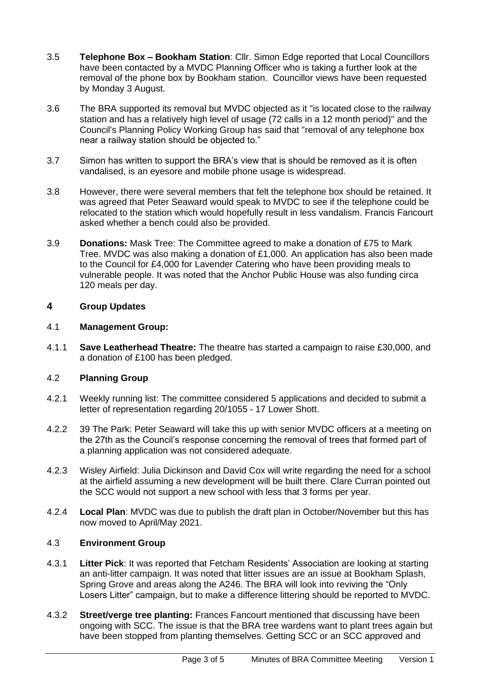- 3.5 **Telephone Box – Bookham Station**: Cllr. Simon Edge reported that Local Councillors have been contacted by a MVDC Planning Officer who is taking a further look at the removal of the phone box by Bookham station. Councillor views have been requested by Monday 3 August.
- 3.6 The BRA supported its removal but MVDC objected as it "is located close to the railway station and has a relatively high level of usage (72 calls in a 12 month period)" and the Council's Planning Policy Working Group has said that "removal of any telephone box near a railway station should be objected to."
- 3.7 Simon has written to support the BRA's view that is should be removed as it is often vandalised, is an eyesore and mobile phone usage is widespread.
- 3.8 However, there were several members that felt the telephone box should be retained. It was agreed that Peter Seaward would speak to MVDC to see if the telephone could be relocated to the station which would hopefully result in less vandalism. Francis Fancourt asked whether a bench could also be provided.
- 3.9 **Donations:** Mask Tree: The Committee agreed to make a donation of £75 to Mark Tree. MVDC was also making a donation of £1,000. An application has also been made to the Council for £4,000 for Lavender Catering who have been providing meals to vulnerable people. It was noted that the Anchor Public House was also funding circa 120 meals per day.

# **4 Group Updates**

#### 4.1 **Management Group:**

4.1.1 **Save Leatherhead Theatre:** The theatre has started a campaign to raise £30,000, and a donation of £100 has been pledged.

## 4.2 **Planning Group**

- 4.2.1 Weekly running list: The committee considered 5 applications and decided to submit a letter of representation regarding 20/1055 - 17 Lower Shott.
- 4.2.2 39 The Park: Peter Seaward will take this up with senior MVDC officers at a meeting on the 27th as the Council's response concerning the removal of trees that formed part of a planning application was not considered adequate.
- 4.2.3 Wisley Airfield: Julia Dickinson and David Cox will write regarding the need for a school at the airfield assuming a new development will be built there. Clare Curran pointed out the SCC would not support a new school with less that 3 forms per year.
- 4.2.4 **Local Plan**: MVDC was due to publish the draft plan in October/November but this has now moved to April/May 2021.

## 4.3 **Environment Group**

- 4.3.1 **Litter Pick**: It was reported that Fetcham Residents' Association are looking at starting an anti-litter campaign. It was noted that litter issues are an issue at Bookham Splash, Spring Grove and areas along the A246. The BRA will look into reviving the "Only Losers Litter" campaign, but to make a difference littering should be reported to MVDC.
- 4.3.2 **Street/verge tree planting:** Frances Fancourt mentioned that discussing have been ongoing with SCC. The issue is that the BRA tree wardens want to plant trees again but have been stopped from planting themselves. Getting SCC or an SCC approved and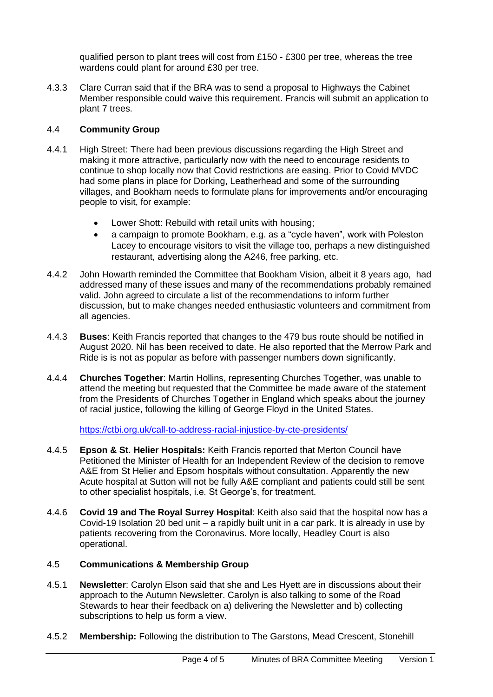qualified person to plant trees will cost from £150 - £300 per tree, whereas the tree wardens could plant for around £30 per tree.

4.3.3 Clare Curran said that if the BRA was to send a proposal to Highways the Cabinet Member responsible could waive this requirement. Francis will submit an application to plant 7 trees.

## 4.4 **Community Group**

- 4.4.1 High Street: There had been previous discussions regarding the High Street and making it more attractive, particularly now with the need to encourage residents to continue to shop locally now that Covid restrictions are easing. Prior to Covid MVDC had some plans in place for Dorking, Leatherhead and some of the surrounding villages, and Bookham needs to formulate plans for improvements and/or encouraging people to visit, for example:
	- Lower Shott: Rebuild with retail units with housing;
	- a campaign to promote Bookham, e.g. as a "cycle haven", work with Poleston Lacey to encourage visitors to visit the village too, perhaps a new distinguished restaurant, advertising along the A246, free parking, etc.
- 4.4.2 John Howarth reminded the Committee that Bookham Vision, albeit it 8 years ago, had addressed many of these issues and many of the recommendations probably remained valid. John agreed to circulate a list of the recommendations to inform further discussion, but to make changes needed enthusiastic volunteers and commitment from all agencies.
- 4.4.3 **Buses**: Keith Francis reported that changes to the 479 bus route should be notified in August 2020. Nil has been received to date. He also reported that the Merrow Park and Ride is is not as popular as before with passenger numbers down significantly.
- 4.4.4 **Churches Together**: Martin Hollins, representing Churches Together, was unable to attend the meeting but requested that the Committee be made aware of the statement from the Presidents of Churches Together in England which speaks about the journey of racial justice, following the killing of George Floyd in the United States.

<https://ctbi.org.uk/call-to-address-racial-injustice-by-cte-presidents/>

- 4.4.5 **Epson & St. Helier Hospitals:** Keith Francis reported that Merton Council have Petitioned the Minister of Health for an Independent Review of the decision to remove A&E from St Helier and Epsom hospitals without consultation. Apparently the new Acute hospital at Sutton will not be fully A&E compliant and patients could still be sent to other specialist hospitals, i.e. St George's, for treatment.
- 4.4.6 **Covid 19 and The Royal Surrey Hospital**: Keith also said that the hospital now has a Covid-19 Isolation 20 bed unit – a rapidly built unit in a car park. It is already in use by patients recovering from the Coronavirus. More locally, Headley Court is also operational.

# 4.5 **Communications & Membership Group**

- 4.5.1 **Newsletter**: Carolyn Elson said that she and Les Hyett are in discussions about their approach to the Autumn Newsletter. Carolyn is also talking to some of the Road Stewards to hear their feedback on a) delivering the Newsletter and b) collecting subscriptions to help us form a view.
- 4.5.2 **Membership:** Following the distribution to The Garstons, Mead Crescent, Stonehill